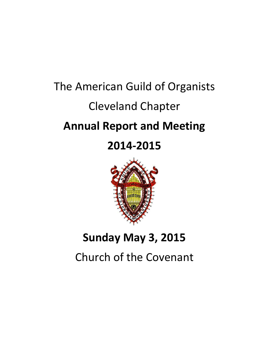# The American Guild of Organists Cleveland Chapter **Annual Report and Meeting**

## **2014-2015**



## **Sunday May 3, 2015**

Church of the Covenant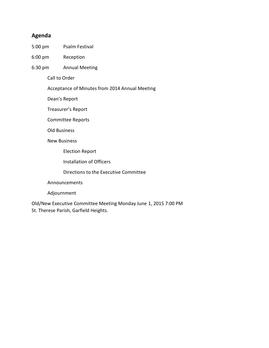## **Agenda**

- 5:00 pm Psalm Festival
- 6:00 pm Reception
- 6:30 pm Annual Meeting

Call to Order

Acceptance of Minutes from 2014 Annual Meeting

Dean's Report

Treasurer's Report

Committee Reports

Old Business

New Business

Election Report

Installation of Officers

Directions to the Executive Committee

Announcements

Adjournment

Old/New Executive Committee Meeting Monday June 1, 2015 7:00 PM St. Therese Parish, Garfield Heights.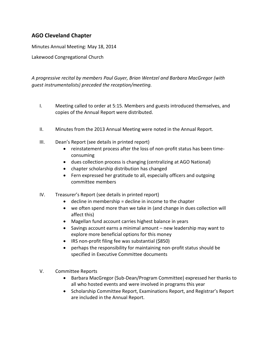## **AGO Cleveland Chapter**

Minutes Annual Meeting: May 18, 2014

Lakewood Congregational Church

*A progressive recital by members Paul Guyer, Brian Wentzel and Barbara MacGregor (with guest instrumentalists) preceded the reception/meeting.*

- I. Meeting called to order at 5:15. Members and guests introduced themselves, and copies of the Annual Report were distributed.
- II. Minutes from the 2013 Annual Meeting were noted in the Annual Report.
- III. Dean's Report (see details in printed report)
	- reinstatement process after the loss of non-profit status has been timeconsuming
	- dues collection process is changing (centralizing at AGO National)
	- chapter scholarship distribution has changed
	- Fern expressed her gratitude to all, especially officers and outgoing committee members
- IV. Treasurer's Report (see details in printed report)
	- $\bullet$  decline in membership = decline in income to the chapter
	- we often spend more than we take in (and change in dues collection will affect this)
	- Magellan fund account carries highest balance in years
	- Savings account earns a minimal amount new leadership may want to explore more beneficial options for this money
	- IRS non-profit filing fee was substantial (\$850)
	- perhaps the responsibility for maintaining non-profit status should be specified in Executive Committee documents
- V. Committee Reports
	- Barbara MacGregor (Sub-Dean/Program Committee) expressed her thanks to all who hosted events and were involved in programs this year
	- Scholarship Committee Report, Examinations Report, and Registrar's Report are included in the Annual Report.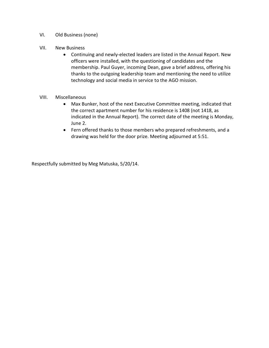- VI. Old Business (none)
- VII. New Business
	- Continuing and newly-elected leaders are listed in the Annual Report. New officers were installed, with the questioning of candidates and the membership. Paul Guyer, incoming Dean, gave a brief address, offering his thanks to the outgoing leadership team and mentioning the need to utilize technology and social media in service to the AGO mission.

#### VIII. Miscellaneous

- Max Bunker, host of the next Executive Committee meeting, indicated that the correct apartment number for his residence is 1408 (not 1418, as indicated in the Annual Report). The correct date of the meeting is Monday, June 2.
- Fern offered thanks to those members who prepared refreshments, and a drawing was held for the door prize. Meeting adjourned at 5:51.

Respectfully submitted by Meg Matuska, 5/20/14.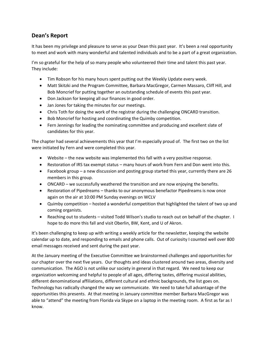## **Dean's Report**

It has been my privilege and pleasure to serve as your Dean this past year. It's been a real opportunity to meet and work with many wonderful and talented individuals and to be a part of a great organization.

I'm so grateful for the help of so many people who volunteered their time and talent this past year. They include:

- Tim Robson for his many hours spent putting out the Weekly Update every week.
- Matt Skitzki and the Program Committee, Barbara MacGregor, Carmen Massaro, Cliff Hill, and Bob Moncrief for putting together an outstanding schedule of events this past year.
- Don Jackson for keeping all our finances in good order.
- Jan Jones for taking the minutes for our meetings.
- Chris Toth for doing the work of the registrar during the challenging ONCARD transition.
- Bob Moncrief for hosting and coordinating the Quimby competition.
- Fern Jennings for leading the nominating committee and producing and excellent slate of candidates for this year.

The chapter had several achievements this year that I'm especially proud of. The first two on the list were initiated by Fern and were completed this year.

- Website the new website was implemented this fall with a very positive response.
- Restoration of IRS tax exempt status many hours of work from Fern and Don went into this.
- Facebook group a new discussion and posting group started this year, currently there are 26 members in this group.
- ONCARD we successfully weathered the transition and are now enjoying the benefits.
- Restoration of Pipedreams thanks to our anonymous benefactor Pipedreams is now once again on the air at 10:00 PM Sunday evenings on WCLV
- Quimby competition hosted a wonderful competition that highlighted the talent of two up and coming organists.
- Reaching out to students visited Todd Wilson's studio to reach out on behalf of the chapter. I hope to do more this fall and visit Oberlin, BW, Kent, and U of Akron.

It's been challenging to keep up with writing a weekly article for the newsletter, keeping the website calendar up to date, and responding to emails and phone calls. Out of curiosity I counted well over 800 email messages received and sent during the past year.

At the January meeting of the Executive Committee we brainstormed challenges and opportunities for our chapter over the next five years. Our thoughts and ideas clustered around two areas, diversity and communication. The AGO is not unlike our society in general in that regard. We need to keep our organization welcoming and helpful to people of all ages, differing tastes, differing musical abilities, different denominational affiliations, different cultural and ethnic backgrounds, the list goes on. Technology has radically changed the way we communicate. We need to take full advantage of the opportunities this presents. At that meeting in January committee member Barbara MacGregor was able to "attend" the meeting from Florida via Skype on a laptop in the meeting room. A first as far as I know.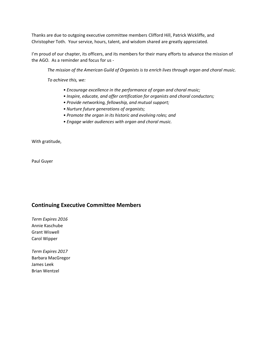Thanks are due to outgoing executive committee members Clifford Hill, Patrick Wickliffe, and Christopher Toth. Your service, hours, talent, and wisdom shared are greatly appreciated.

I'm proud of our chapter, its officers, and its members for their many efforts to advance the mission of the AGO. As a reminder and focus for us -

*The mission of the American Guild of Organists is to enrich lives through organ and choral music.*

*To achieve this, we:*

- *Encourage excellence in the performance of organ and choral music;*
- *Inspire, educate, and offer certification for organists and choral conductors;*
- *Provide networking, fellowship, and mutual support;*
- *Nurture future generations of organists;*
- *Promote the organ in its historic and evolving roles; and*
- *Engage wider audiences with organ and choral music.*

With gratitude,

Paul Guyer

#### **Continuing Executive Committee Members**

*Term Expires 2016* Annie Kaschube Grant Wiswell Carol Wipper

*Term Expires 2017* Barbara MacGregor James Leek Brian Wentzel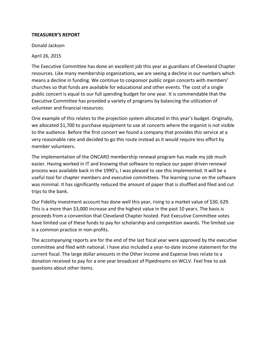#### **TREASURER'S REPORT**

Donald Jackson

April 26, 2015

The Executive Committee has done an excellent job this year as guardians of Cleveland Chapter resources. Like many membership organizations, we are seeing a decline in our numbers which means a decline in funding. We continue to cosponsor public organ concerts with members' churches so that funds are available for educational and other events. The cost of a single public concert is equal to our full spending budget for one year. It is commendable that the Executive Committee has provided a variety of programs by balancing the utilization of volunteer and financial resources.

One example of this relates to the projection system allocated in this year's budget. Originally, we allocated \$1,700 to purchase equipment to use at concerts where the organist is not visible to the audience. Before the first concert we found a company that provides this service at a very reasonable rate and decided to go this route instead as it would require less effort by member volunteers.

The implementation of the ONCARD membership renewal program has made my job much easier. Having worked in IT and knowing that software to replace our paper driven renewal process was available back in the 1990's, I was pleased to see this implemented. It will be a useful tool for chapter members and executive committees. The learning curve on the software was minimal. It has significantly reduced the amount of paper that is shuffled and filed and cut trips to the bank.

Our Fidelity investment account has done well this year, rising to a market value of \$30, 629. This is a more than \$3,000 increase and the highest value in the past 10 years. The basis is proceeds from a convention that Cleveland Chapter hosted. Past Executive Committee votes have limited use of these funds to pay for scholarship and competition awards. The limited use is a common practice in non-profits.

The accompanying reports are for the end of the last fiscal year were approved by the executive committee and filed with national. I have also included a year-to-date income statement for the current fiscal. The large dollar amounts in the Other Income and Expense lines relate to a donation received to pay for a one year broadcast of Pipedreams on WCLV. Feel free to ask questions about other items.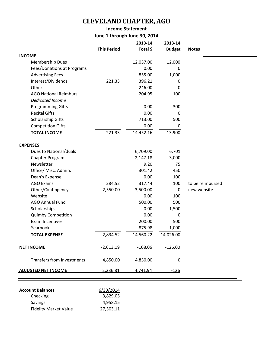## **CLEVELAND CHAPTER, AGO**

### **Income Statement June 1 through June 30, 2014**

|                                                          | <b>This Period</b> | 2013-14<br>Total \$ | 2013-14<br><b>Budget</b> | <b>Notes</b>     |
|----------------------------------------------------------|--------------------|---------------------|--------------------------|------------------|
| <b>INCOME</b>                                            |                    |                     |                          |                  |
| Membership Dues                                          |                    | 12,037.00           | 12,000                   |                  |
| Fees/Donations at Programs                               |                    | 0.00                | 0                        |                  |
| <b>Advertising Fees</b>                                  |                    | 855.00              | 1,000                    |                  |
| Interest/Dividends                                       | 221.33             | 396.21              | 0                        |                  |
| Other                                                    |                    | 246.00              | 0                        |                  |
| <b>AGO National Reimburs.</b><br><b>Dedicated Income</b> |                    | 204.95              | 100                      |                  |
| <b>Programming Gifts</b>                                 |                    | 0.00                | 300                      |                  |
| <b>Recital Gifts</b>                                     |                    | 0.00                | 0                        |                  |
| Scholarship Gifts                                        |                    | 713.00              | 500                      |                  |
| <b>Competition Gifts</b>                                 |                    | 0.00                | 0                        |                  |
| <b>TOTAL INCOME</b>                                      | 221.33             | 14,452.16           | 13,900                   |                  |
| <b>EXPENSES</b>                                          |                    |                     |                          |                  |
| Dues to National/duals                                   |                    | 6,709.00            | 6,701                    |                  |
| <b>Chapter Programs</b>                                  |                    | 2,147.18            | 3,000                    |                  |
| Newsletter                                               |                    | 9.20                | 75                       |                  |
| Office/ Misc. Admin.                                     |                    | 301.42              | 450                      |                  |
| Dean's Expense                                           |                    | 0.00                | 100                      |                  |
| <b>AGO Exams</b>                                         | 284.52             | 317.44              | 100                      | to be reimbursed |
| Other/Contingency                                        | 2,550.00           | 3,500.00            | 0                        | new website      |
| Website                                                  |                    | 0.00                | 100                      |                  |
| <b>AGO Annual Fund</b>                                   |                    | 500.00              | 500                      |                  |
| Scholarships                                             |                    | 0.00                | 1,500                    |                  |
| <b>Quimby Competition</b>                                |                    | 0.00                | 0                        |                  |
| Exam Incentives                                          |                    | 200.00              | 500                      |                  |
| Yearbook                                                 |                    | 875.98              | 1,000                    |                  |
| <b>TOTAL EXPENSE</b>                                     | 2,834.52           | 14,560.22           | 14,026.00                |                  |
| <b>NET INCOME</b>                                        | $-2,613.19$        | $-108.06$           | $-126.00$                |                  |
| <b>Transfers from Investments</b>                        | 4,850.00           | 4,850.00            | $\boldsymbol{0}$         |                  |
| <b>ADJUSTED NET INCOME</b>                               | 2,236.81           | 4,741.94            | $-126$                   |                  |

| <b>Account Balances</b>      | 6/30/2014 |
|------------------------------|-----------|
| Checking                     | 3,829.05  |
| Savings                      | 4,958.15  |
| <b>Fidelity Market Value</b> | 27,303.11 |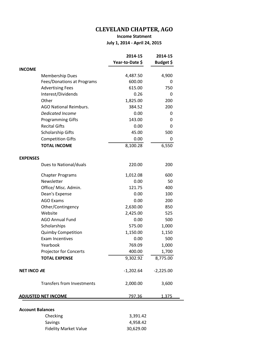## **CLEVELAND CHAPTER, AGO**

### **Income Statment July 1, 2014 - April 24, 2015**

|                            |                                   | 2014-15         | 2014-15      |
|----------------------------|-----------------------------------|-----------------|--------------|
|                            |                                   | Year-to-Date \$ | Budget \$    |
| <b>INCOME</b>              |                                   |                 |              |
|                            | <b>Membership Dues</b>            | 4,487.50        | 4,900        |
|                            | Fees/Donations at Programs        | 600.00          | 0            |
|                            | <b>Advertising Fees</b>           | 615.00          | 750          |
|                            | Interest/Dividends                | 0.26            | 0            |
|                            | Other                             | 1,825.00        | 200          |
|                            | <b>AGO National Reimburs.</b>     | 384.52          | 200          |
|                            | <b>Dedicated Income</b>           | 0.00            | 0            |
|                            | <b>Programming Gifts</b>          | 143.00          | 0            |
|                            | <b>Recital Gifts</b>              | 0.00            | 0            |
|                            | Scholarship Gifts                 | 45.00           | 500          |
|                            | <b>Competition Gifts</b>          | 0.00            | 0            |
|                            | <b>TOTAL INCOME</b>               | 8,100.28        | 6,550        |
| <b>EXPENSES</b>            |                                   |                 |              |
|                            | Dues to National/duals            | 220.00          | 200          |
|                            | <b>Chapter Programs</b>           | 1,012.08        | 600          |
|                            | Newsletter                        | 0.00            | 50           |
|                            | Office/ Misc. Admin.              | 121.75          | 400          |
|                            | Dean's Expense                    | 0.00            | 100          |
|                            | <b>AGO Exams</b>                  | 0.00            | 200          |
|                            | Other/Contingency                 | 2,630.00        | 850          |
|                            | Website                           | 2,425.00        | 525          |
|                            | <b>AGO Annual Fund</b>            | 0.00            | 500          |
|                            | Scholarships                      | 575.00          | 1,000        |
|                            | <b>Quimby Competition</b>         | 1,150.00        | 1,150        |
|                            | <b>Exam Incentives</b>            | 0.00            | 500          |
|                            | Yearbook                          | 769.09          | 1,000        |
|                            | <b>Projector for Concerts</b>     | 400.00          | 1,700        |
|                            | <b>TOTAL EXPENSE</b>              | 9,302.92        | 8,775.00     |
| <b>NET INCO VIE</b>        |                                   | $-1,202.64$     | $-2,225.00$  |
|                            | <b>Transfers from Investments</b> | 2,000.00        | 3,600        |
| <b>ADJUSTED NET INCOME</b> |                                   | 797.36          | <u>1,375</u> |
| <b>Account Balances</b>    |                                   |                 |              |
|                            | Checking                          | 3,391.42        |              |
|                            | Savings                           | 4,958.42        |              |
|                            | <b>Fidelity Market Value</b>      | 30,629.00       |              |
|                            |                                   |                 |              |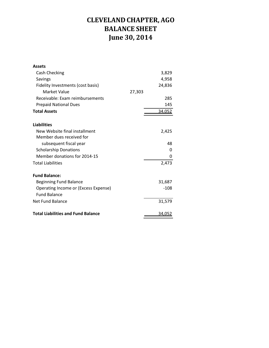## **CLEVELAND CHAPTER, AGO BALANCE SHEET June 30, 2014**

| <b>Assets</b>                             |        |
|-------------------------------------------|--------|
| Cash Checking                             | 3,829  |
| Savings                                   | 4,958  |
| Fidelity Investments (cost basis)         | 24,836 |
| Market Value                              | 27,303 |
| Receivable: Exam reimbursements           | 285    |
| <b>Prepaid National Dues</b>              | 145    |
| <b>Total Assets</b>                       | 34,052 |
| <b>Liabilities</b>                        |        |
| New Website final installment             | 2,425  |
| Member dues received for                  |        |
| subsequent fiscal year                    | 48     |
| <b>Scholarship Donations</b>              | 0      |
| Member donations for 2014-15              | 0      |
| <b>Total Liabilities</b>                  | 2,473  |
| <b>Fund Balance:</b>                      |        |
| <b>Beginning Fund Balance</b>             | 31,687 |
| Operating Income or (Excess Expense)      | $-108$ |
| <b>Fund Balance</b>                       |        |
| Net Fund Balance                          | 31,579 |
| <b>Total Liabilities and Fund Balance</b> | 34,052 |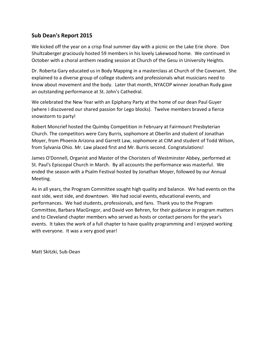## **Sub Dean's Report 2015**

We kicked off the year on a crisp final summer day with a picnic on the Lake Erie shore. Don Shultzaberger graciously hosted 59 members in his lovely Lakewood home. We continued in October with a choral anthem reading session at Church of the Gesu in University Heights.

Dr. Roberta Gary educated us in Body Mapping in a masterclass at Church of the Covenant. She explained to a diverse group of college students and professionals what musicians need to know about movement and the body. Later that month, NYACOP winner Jonathan Rudy gave an outstanding performance at St. John's Cathedral.

We celebrated the New Year with an Epiphany Party at the home of our dean Paul Guyer (where I discovered our shared passion for Lego blocks). Twelve members braved a fierce snowstorm to party!

Robert Moncrief hosted the Quimby Competition in February at Fairmount Presbyterian Church. The competitors were Cory Burris, sophomore at Oberlin and student of Jonathan Moyer, from Phoenix Arizona and Garrett Law, sophomore at CIM and student of Todd Wilson, from Sylvania Ohio. Mr. Law placed first and Mr. Burris second. Congratulations!

James O'Donnell, Organist and Master of the Choristers of Westminster Abbey, performed at St. Paul's Episcopal Church in March. By all accounts the performance was masterful. We ended the season with a Psalm Festival hosted by Jonathan Moyer, followed by our Annual Meeting.

As in all years, the Program Committee sought high quality and balance. We had events on the east side, west side, and downtown. We had social events, educational events, and performances. We had students, professionals, and fans. Thank you to the Program Committee, Barbara MacGregor, and David von Behren, for their guidance in program matters and to Cleveland chapter members who served as hosts or contact persons for the year's events. It takes the work of a full chapter to have quality programming and I enjoyed working with everyone. It was a very good year!

Matt Skitzki, Sub-Dean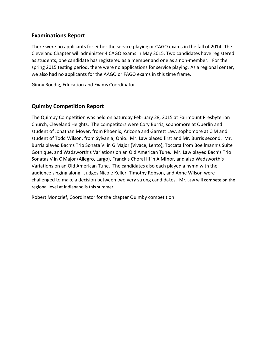## **Examinations Report**

There were no applicants for either the service playing or CAGO exams in the fall of 2014. The Cleveland Chapter will administer 4 CAGO exams in May 2015. Two candidates have registered as students, one candidate has registered as a member and one as a non-member. For the spring 2015 testing period, there were no applications for service playing. As a regional center, we also had no applicants for the AAGO or FAGO exams in this time frame.

Ginny Roedig, Education and Exams Coordinator

## **Quimby Competition Report**

The Quimby Competition was held on Saturday February 28, 2015 at Fairmount Presbyterian Church, Cleveland Heights. The competitors were Cory Burris, sophomore at Oberlin and student of Jonathan Moyer, from Phoenix, Arizona and Garrett Law, sophomore at CIM and student of Todd Wilson, from Sylvania, Ohio. Mr. Law placed first and Mr. Burris second. Mr. Burris played Bach's Trio Sonata VI in G Major (Vivace, Lento), Toccata from Boellmann's Suite Gothique, and Wadsworth's Variations on an Old American Tune. Mr. Law played Bach's Trio Sonatas V in C Major (Allegro, Largo), Franck's Choral III in A Minor, and also Wadsworth's Variations on an Old American Tune. The candidates also each played a hymn with the audience singing along. Judges Nicole Keller, Timothy Robson, and Anne Wilson were challenged to make a decision between two very strong candidates. Mr. Law will compete on the regional level at Indianapolis this summer.

Robert Moncrief, Coordinator for the chapter Quimby competition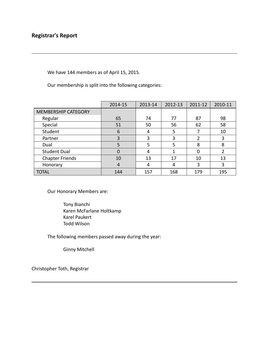We have 144 members as of April 15, 2015.

Our membership is split into the following categories:

|                            | 2014-15  | 2013-14 | 2012-13 | 2011-12 | 2010-11 |
|----------------------------|----------|---------|---------|---------|---------|
| <b>MEMBERSHIP CATEGORY</b> |          |         |         |         |         |
| Regular                    | 65       | 74      | 77      | 87      | 98      |
| Special                    | 51       | 50      | 56      | 62      | 58      |
| Student                    | 6        | 4       | 5       |         | 10      |
| Partner                    | 3        | 3       | 3       | າ       | 3       |
| Dual                       | 5        | 5       | 5       | 8       | 8       |
| <b>Student Dual</b>        | $\Omega$ | 4       |         |         | 2       |
| <b>Chapter Friends</b>     | 10       | 13      | 17      | 10      | 13      |
| Honorary                   | 4        | 4       | 4       | 3       | 3       |
| <b>TOTAL</b>               | 144      | 157     | 168     | 179     | 195     |

Our Honorary Members are:

Tony Bianchi Karen McFarlane Holtkamp Karel Paukert Todd Wilson

The following members passed away during the year:

Ginny Mitchell

Christopher Toth, Registrar